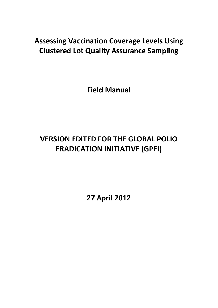# **Assessing Vaccination Coverage Levels Using Clustered Lot Quality Assurance Sampling**

**Field Manual**

# **VERSION EDITED FOR THE GLOBAL POLIO ERADICATION INITIATIVE (GPEI)**

<span id="page-0-0"></span>**27 April 2012**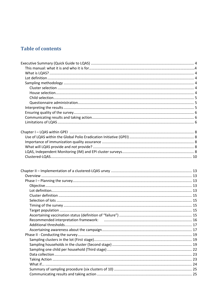## **Table of contents**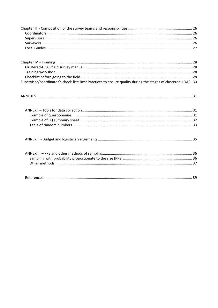| Supervisor/coordinator's check-list: Best Practices to ensure quality during the stages of clustered-LQAS. 30 |  |
|---------------------------------------------------------------------------------------------------------------|--|
|                                                                                                               |  |
|                                                                                                               |  |
|                                                                                                               |  |
|                                                                                                               |  |
|                                                                                                               |  |
|                                                                                                               |  |
|                                                                                                               |  |
|                                                                                                               |  |
|                                                                                                               |  |
|                                                                                                               |  |
|                                                                                                               |  |
|                                                                                                               |  |
|                                                                                                               |  |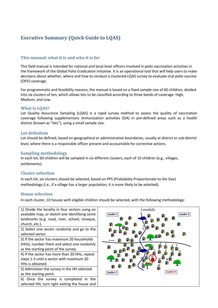## <span id="page-3-0"></span>**Executive Summary (Quick Guide to LQAS)**

#### <span id="page-3-1"></span>**This manual: what it is and who it is for**

This field manual is intended for national and local-level officers involved in polio vaccination activities in the framework of the Global Polio Eradication Initiative. It is an operational tool that will help users to make decisions about whether, where and how to conduct a clustered-LQAS survey to evaluate oral polio vaccine (OPV) coverage.

For programmatic and feasibility reasons, the manual is based on a fixed sample size of 60 children, divided into six clusters of ten, which allows lots to be classified according to three bands of coverage: High, Medium, and Low.

#### **What is LQAS?**

Lot Quality Assurance Sampling (LQAS) is a rapid survey method to assess the quality of vaccination coverage following supplementary immunization activities (SIA) in pre-defined areas such as a health district (known as "lots"), using a small sample size.

#### <span id="page-3-2"></span>**Lot definition**

Lot should be defined, based on geographical or administrative boundaries, usually at district or sub-district level, where there is a responsible officer present and accountable for corrective actions.

#### <span id="page-3-3"></span>**Sampling methodology**

In each lot, 60 children will be sampled in six different clusters, each of 10 children (e.g., villages, settlements).

#### <span id="page-3-4"></span>**Cluster selection**

In each lot, six clusters should be selected, based on PPS (Probability Proportionate to the Size) methodology (i.e., if a village has a larger population, it is more likely to be selected).

#### <span id="page-3-5"></span>**House selection**

In each cluster, 10 houses with eligible children should be selected, with the following methodology:

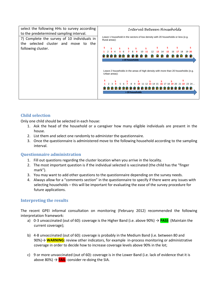

#### <span id="page-4-0"></span>**Child selection**

Only one child should be selected in each house:

- 1. Ask the head of the household or a caregiver how many eligible individuals are present in the house.
- 2. List them and select one randomly to administer the questionnaire.
- 3. Once the questionnaire is administered move to the following household according to the sampling interval.

#### <span id="page-4-1"></span>**Questionnaire administration**

- 1. Fill out questions regarding the cluster location when you arrive in the locality.
- 2. The most important question is if the individual selected is vaccinated (the child has the "finger mark").
- 3. You may want to add other questions to the questionnaire depending on the survey needs.
- 4. Always allow for a "comments section" in the questionnaire to specify if there were any issues with selecting households – this will be important for evaluating the ease of the survey procedure for future applications.

#### <span id="page-4-2"></span>**Interpreting the results**

The recent GPEI informal consultation on monitoring (February 2012) recommended the following interpretation framework:

- a) 0-3 unvaccinated (out of 60): coverage is the Higher Band (i.e. above 90%) → **PASS** (Maintain the current coverage);
- b) 4-8 unvaccinated (out of 60): coverage is probably in the Medium Band (i.e. between 80 and 90%) → **WARNING**: review other indicators, for example in-process monitoring or administrative coverage in order to decide how to increase coverage levels above 90% in the lot;
- c) 9 or more unvaccinated (out of 60): coverage is in the Lower Band (i.e. lack of evidence that it is above 80%)  $\rightarrow$  **FAIL**: consider re-doing the SIA.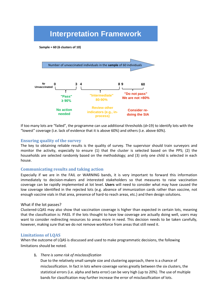## **Interpretation Framework**

**Sample = 60 (6 clusters of 10)**



If too many lots are "failed", the programme can use additional thresholds (d=19) to identify lots with the "lowest" coverage (i.e. lack of evidence that it is above 60%) and others (i.e. above 60%).

#### <span id="page-5-0"></span>**Ensuring quality of the survey**

The key to obtaining reliable results is the quality of survey. The supervisor should train surveyors and monitor the activity, especially to ensure (1) that the cluster is selected based on the PPS; (2) the households are selected randomly based on the methodology; and (3) only one child is selected in each house.

#### <span id="page-5-1"></span>**Communicating results and taking action**

Especially if we are in the FAIL or WARNING bands, it is very important to forward this information immediately to decision-makers and interested stakeholders so that measures to raise vaccination coverage can be rapidly implemented at lot level. **Users** will need to consider what may have caused the low coverage identified in the rejected lots (e.g. absence of immunization cards rather than vaccine, not enough vaccine vials in that area, presence of hard-to reach areas, etc.) and then design solutions.

#### What if the lot passes?

Clustered-LQAS may also show that vaccination coverage is higher than expected in certain lots, meaning that the classification is: PASS. If the lots thought to have low coverage are actually doing well, users may want to consider redirecting resources to areas more in need. This decision needs to be taken carefully, however, making sure that we do not remove workforce from areas that still need it.

#### <span id="page-5-2"></span>**Limitations of LQAS**

When the outcome of LQAS is discussed and used to make programmatic decisions, the following limitations should be noted.

**1.** *There is some risk of misclassification*

Due to the relatively small sample size and clustering approach, there is a chance of misclassification. In fact in lots where coverage varies greatly between the six clusters, the statistical errors (i.e. alpha and beta error) can be very high (up to 20%). The use of multiple bands for classification may further increase the error of misclassification of lots.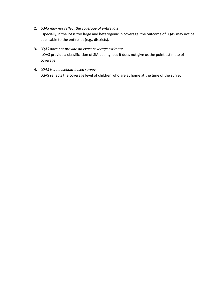- **2.** *LQAS may not reflect the coverage of entire lots* Especially, if the lot is too large and heterogenic in coverage, the outcome of LQAS may not be applicable to the entire lot (e.g., districts).
- **3.** *LQAS does not provide an exact coverage estimate* LQAS provide a classification of SIA quality, but it does not give us the point estimate of coverage.
- **4.** *LQAS is a household-based survey* LQAS reflects the coverage level of children who are at home at the time of the survey.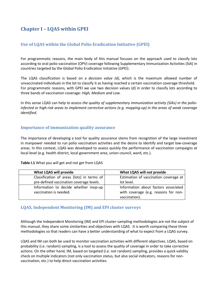## <span id="page-7-0"></span>**Chapter I – LQAS within GPEI**

#### <span id="page-7-1"></span>**Use of LQAS within the Global Polio Eradication Initiative (GPEI)**

For programmatic reasons, the main body of this manual focuses on the approach used to classify lots according to oral polio vaccination (OPV) coverage following Supplementary Immunization Activities (SIA) in countries targeted by the Global Polio Eradication Initiative (GPEI).

The LQAS classification is based on a *decision value (d)*, which is the maximum allowed number of unvaccinated individuals in the lot to classify it as having reached a certain vaccination coverage threshold. For programmatic reasons, with GPEI we use two decision values (d) in order to classify lots according to three bands of vaccination coverage: *High, Medium and Low.* 

In this sense LQAS can help *to assess the quality of supplementary immunization activity (SIAs) in the polioinfected or high-risk areas to implement corrective actions (e.g. mopping-up) in the areas of weak coverage identified.*

#### <span id="page-7-2"></span>**Importance of immunization quality assurance**

The importance of developing a tool for quality assurance stems from recognition of the large investment in manpower needed to run polio vaccination activities and the desire to identify and target low-coverage areas. In this context, LQAS was developed to assess quickly the performance of vaccination campaigns at local level (e.g. health district, local government area, union council, ward, etc.).

#### **Table I.1** What you will get and not get from LQAS

| What LQAS will provide                     | What LQAS will not provide            |
|--------------------------------------------|---------------------------------------|
| Classification of areas (lots) in terms of | Estimation of vaccination coverage at |
| pre-defined vaccination coverage levels.   | lot level.                            |
| Information to decide whether mop-up       | Information about factors associated  |
| vaccination is needed.                     | with coverage (e.g. reasons for non-  |
|                                            | vaccination).                         |

#### <span id="page-7-3"></span>**LQAS, Independent Monitoring (IM) and EPI cluster surveys**

Although the Independent Monitoring (IM) and EPI cluster-sampling methodologies are not the subject of this manual, they share some similarities and objectives with LQAS. It is worth comparing these three methodologies so that readers can have a better understanding of what to expect from a LQAS survey.

LQAS and IM can both be used to monitor vaccination activities with different objectives. LQAS, based on probability (i.e. random) sampling, is a tool to assess the quality of coverage in order to take corrective actions. On the other hand, IM, based on targeted (i.e. not random) sampling, provides a quick validity check on multiple indicators (not only vaccination status, but also social indicators, reasons for nonvaccination, etc.) to help direct vaccination activities.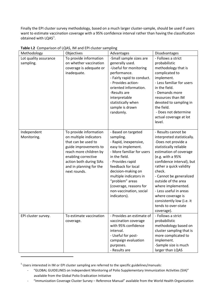Finally the EPI cluster survey methodology, based on a much larger cluster-sample, should be used if users want to estimate vaccination coverage with a 95% confidence interval rather than having the classification obtained with  $LQAS<sup>1</sup>$  $LQAS<sup>1</sup>$  $LQAS<sup>1</sup>$ .

| Methodology           | Objectives              | Advantages                 | Disadvantages                    |
|-----------------------|-------------------------|----------------------------|----------------------------------|
| Lot quality assurance | To provide information  | -Small sample sizes are    | - Follows a strict               |
| sampling.             | on whether vaccination  | generally used.            | probabilistic                    |
|                       | coverage is adequate or | -Useful for monitoring     | methodology that is              |
|                       | inadequate.             | performance.               | complicated to                   |
|                       |                         | - Fairly rapid to conduct. | implement.                       |
|                       |                         | - Provides action-         | - Less familiar for users        |
|                       |                         | oriented information.      | in the field.                    |
|                       |                         | -Results are               | - Demands more                   |
|                       |                         | interpretable              | resources than IM                |
|                       |                         | statistically when         | devoted to sampling in           |
|                       |                         | sample is drawn            | the field.                       |
|                       |                         | randomly.                  | - Does not determine             |
|                       |                         |                            | actual coverage at lot<br>level. |
|                       |                         |                            |                                  |
| Independent           | To provide information  | - Based on targeted        | - Results cannot be              |
| Monitoring.           | on multiple indicators  | sampling.                  | interpreted statistically.       |
|                       | that can be used to     | - Rapid, inexpensive,      | -Does not provide a              |
|                       | guide improvements to   | easy to implement.         | statistically reliable           |
|                       | reach more children by  | - More familiar for users  | estimation of coverage           |
|                       | enabling corrective     | in the field.              | (e.g. with a 95%                 |
|                       | action both during SIAs | - Provides rapid           | confidence interval), but        |
|                       | and in planning for the | feedback for local         | rather a quick validity          |
|                       | next rounds.            | decision-making on         | check.                           |
|                       |                         | multiple indicators in     | - Cannot be generalized          |
|                       |                         | "problem" areas            | outside of the area              |
|                       |                         | (coverage, reasons for     | where implemented.               |
|                       |                         | non-vaccination, social    | - Less useful in areas           |
|                       |                         | indicators).               | where coverage is                |
|                       |                         |                            | consistently low (i.e. it        |
|                       |                         |                            | tends to over-state              |
|                       | To estimate vaccination | - Provides an estimate of  | coverage).<br>- Follows a strict |
| EPI cluster survey.   | coverage.               | vaccination coverage       | probabilistic                    |
|                       |                         | with 95% confidence        | methodology based on             |
|                       |                         | interval.                  | cluster sampling that is         |
|                       |                         | - Useful for post-         | more complicated to              |
|                       |                         | campaign evaluation        | implement.                       |
|                       |                         | purposes.                  | -Sample size is much             |
|                       |                         | - Results are              | larger than LQAS                 |

**Table I.2** Comparison of LQAS, IM and EPI cluster sampling

 $\overline{\phantom{a}}$ 

<span id="page-8-0"></span> $1$  Users interested in IM or EPI cluster sampling are referred to the specific guidelines/manuals:

<sup>-</sup> "GLOBAL GUIDELINES on Independent Monitoring of Polio Supplementary Immunization Activities (SIA)" available from the Global Polio Eradication Initiative

<sup>-</sup> "Immunization Coverage Cluster Survey – Reference Manual" available from the World Health Organization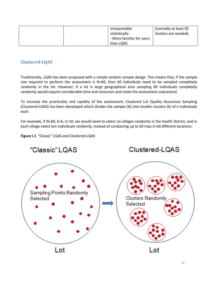|  | interpretable             | (normally at least 30 |
|--|---------------------------|-----------------------|
|  | statistically.            | clusters are needed). |
|  | - More familiar for users |                       |
|  | than LQAS.                |                       |

#### <span id="page-9-0"></span>**Clustered-LQAS**

Traditionally, LQAS has been proposed with a simple random sample design. This means that, if the sample size required to perform the assessment is N=60, then 60 individuals need to be sampled completely randomly in the lot. However, if a lot is large geographical area sampling 60 individuals completely randomly would require considerable time and resources and make the assessment unpractical.

To increase the practicality and rapidity of the assessment, Clustered Lot Quality Assurance Sampling (Clustered-LQAS) has been developed which divides the sample (N) into smaller clusters (k) of n individuals each.

For example, if N=60, k=6, n=10, we would need to select six villages randomly in the health district, and in each village select ten individuals randomly, instead of conducting up to 60 trips in 60 different locations.

**Figure I.1** "Classic" LQAS and Clustered-LQAS

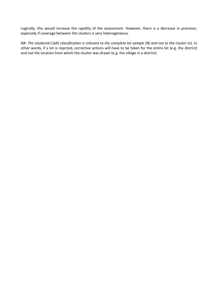Logically, this would increase the rapidity of the assessment. However, there is a decrease in precision, especially if coverage between the clusters is very heterogeneous.

*NB: The clustered-LQAS classification is relevant to the complete lot sample (N) and not to the cluster (n).* In other words, if a lot is rejected, corrective actions will have to be taken for the entire lot (e.g. the district) and not the location from which the cluster was drawn (e.g. the village in a district).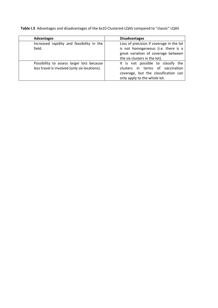**Table I.3** Advantages and disadvantages of the 6x10 Clustered-LQAS compared to "classic" LQAS

| <b>Advantages</b>                             | <b>Disadvantages</b>                     |  |  |  |  |
|-----------------------------------------------|------------------------------------------|--|--|--|--|
| Increased rapidity and feasibility in the     | Loss of precision if coverage in the lot |  |  |  |  |
| field.                                        | is not homogeneous (i.e. there is a      |  |  |  |  |
|                                               | great variation of coverage between      |  |  |  |  |
|                                               | the six clusters in the lot).            |  |  |  |  |
| Possibility to assess larger lots because     | It is not possible to classify the       |  |  |  |  |
| less travel is involved (only six locations). | clusters in terms of vaccination         |  |  |  |  |
|                                               | coverage, but the classification can     |  |  |  |  |
|                                               | only apply to the whole lot.             |  |  |  |  |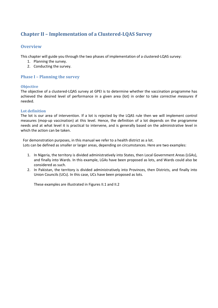## <span id="page-12-0"></span>**Chapter II – Implementation of a Clustered-LQAS Survey**

#### <span id="page-12-1"></span>**Overview**

This chapter will guide you through the two phases of implementation of a clustered-LQAS survey:

- 1. Planning the survey.
- 2. Conducting the survey.

#### <span id="page-12-2"></span>**Phase I – Planning the survey**

#### <span id="page-12-3"></span>**Objective**

The objective of a clustered-LQAS survey at GPEI is to determine whether the vaccination programme has achieved the desired level of performance in a given area (lot) in order to take *corrective measures* if needed.

#### <span id="page-12-4"></span>**Lot definition**

The lot is our area of intervention. If a lot is rejected by the LQAS rule then we will implement control measures (mop-up vaccination) at this level. Hence, the definition of a lot depends on the programme needs and at what level it is practical to intervene, and is generally based on the administrative level in which the action can be taken.

For demonstration purposes, in this manual we refer to a health district as a lot. Lots can be defined as smaller or larger areas, depending on circumstances. Here are two examples:

- 1. In Nigeria, the territory is divided administratively into States, then Local Government Areas (LGAs), and finally into Wards. In this example, LGAs have been proposed as lots, and Wards could also be considered as such.
- 2. In Pakistan, the territory is divided administratively into Provinces, then Districts, and finally into Union Councils (UCs). In this case, UCs have been proposed as lots.

These examples are illustrated in Figures II.1 and II.2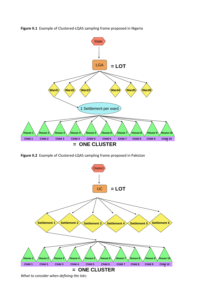**Figure II.1** Example of Clustered-LQAS sampling frame proposed in Nigeria



**Figure II.2** Example of Clustered-LQAS sampling frame proposed in Pakistan



*What to consider when defining the lots:*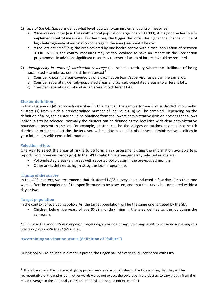- 1) *Size of the lots* (i.e. consider at what level you want/can implement control measures)
	- a) *If the lots are large* **(**e.g. LGAs with a total population larger than 100 000), it may not be feasible to implement control measures. Furthermore, the bigger the lot is, the higher the chance will be of high heterogeneity of vaccination coverage in the area (see point 2 below).
	- b) *If the lots are small* (e.g. the area covered by one health centre with a total population of between 3 000 - 5 000), the control measures may be too localized to have an impact on the vaccination programme. In addition, significant resources to cover all areas of interest would be required.
- 2) *Homogeneity in terms of vaccination coverage* (i.e. select a territory where the likelihood of being vaccinated is similar across the different areas)  $<sup>2</sup>$  $<sup>2</sup>$  $<sup>2</sup>$ </sup>
	- a) Consider choosing areas covered by one vaccination team/supervisor as part of the same lot.
	- b) Consider separating densely-populated areas and scarcely-populated areas into different lots.
	- c) Consider separating rural and urban areas into different lots.

#### <span id="page-14-0"></span>**Cluster definition**

In the clustered-LQAS approach described in this manual, the sample for each lot is divided into smaller clusters (k) from which a predetermined number of individuals (n) will be sampled. Depending on the definition of a lot, the cluster could be obtained from the lowest administrative division present that allows individuals to be selected. Normally the clusters can be defined as the localities with clear administrative boundaries present in the lot. For example, clusters can be the villages or catchment areas in a health district. In order to select the clusters, you will need to have a list of all these administrative localities in your lot, ideally with census information.

#### <span id="page-14-1"></span>**Selection of lots**

One way to select the areas at risk is to perform a risk assessment using the information available (e.g. reports from previous campaigns). In the GPEI context, the areas generally selected as lots are:

- Polio-infected areas (e.g. areas with reported polio cases in the previous six months)
- Other areas defined as high-risk by the local programme.

#### <span id="page-14-2"></span>**Timing of the survey**

In the GPEI context, we recommend that clustered-LQAS surveys be conducted a few days (less than one week) after the completion of the specific round to be assessed, and that the survey be completed within a day or two.

#### <span id="page-14-3"></span>**Target population**

**.** 

In the context of evaluating polio SIAs, the target population will be the same one targeted by the SIA:

• Children below five years of age (0-59 months) living in the area defined as the lot during the campaign.

*NB: in case the vaccination campaign targets different age groups you may want to consider surveying this age group also with the LQAS survey.* 

#### <span id="page-14-4"></span>**Ascertaining vaccination status (definition of "failure")**

During polio SIAs an indelible mark is put on the finger-nail of every child vaccinated with OPV.

<span id="page-14-5"></span> $2$  This is because in the clustered-LQAS approach we are selecting clusters in the lot assuming that they will be representative of the entire lot. In other words we do not expect the coverage in the clusters to vary greatly from the mean coverage in the lot (ideally the Standard Deviation should not exceed 0.1).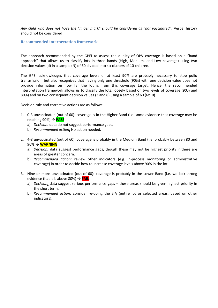*Any child who does not have the "finger mark" should be considered as "not vaccinated"***.** Verbal history should not be considered

#### <span id="page-15-0"></span>**Recommended interpretation framework**

The approach recommended by the GPEI to assess the quality of OPV coverage is based on a "band approach" that allows us to classify lots in three bands (High, Medium, and Low coverage) using two decision values (d) in a sample (N) of 60 divided into six clusters of 10 children.

The GPEI acknowledges that coverage levels of at least 90% are probably necessary to stop polio transmission, but also recognizes that having only one threshold (90%) with one decision value does not provide information on how far the lot is from this coverage target. Hence, the recommended interpretation framework allows us to classify the lots, loosely based on two levels of coverage (90% and 80%) and on two consequent decision values (3 and 8) using a sample of 60 (6x10).

Decision rule and corrective actions are as follows:

- 1. 0-3 unvaccinated (out of 60): coverage is in the Higher Band (i.e. some evidence that coverage may be reaching 90%) → **PASS** 
	- a) *Decision:* data do not suggest performance gaps.
	- b) *Recommended action:* No action needed.
- 2. 4-8 unvaccinated (out of 60): coverage is probably in the Medium Band (i.e. probably between 80 and 90%)→ **WARNING**
	- a) *Decision:* data suggest performance gaps, though these may not be highest priority if there are areas of greater concern.
	- b) *Recommended action:* review other indicators (e.g. in-process monitoring or administrative coverage) in order to decide how to increase coverage levels above 90% in the lot.
- 3. Nine or more unvaccinated (out of 60): coverage is probably in the Lower Band (i.e. we lack strong evidence that it is above 80%) → **FAIL**
	- a) *Decision:* data suggest serious performance gaps these areas should be given highest priority in the short term.
	- b) *Recommended action:* consider re-doing the SIA (entire lot or selected areas, based on other indicators).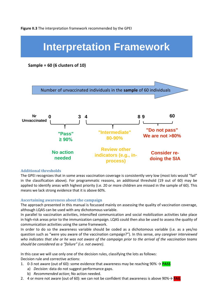# **Interpretation Framework**

#### **Sample = 60 (6 clusters of 10)**



#### <span id="page-16-0"></span>**Additional thresholds**

The GPEI recognizes that in some areas vaccination coverage is consistently very low (most lots would "fail" in the classification above). For programmatic reasons, an additional threshold (19 out of 60) may be applied to identify areas with highest priority (i.e. 20 or more children are missed in the sample of 60). This means we lack strong evidence that it is above 60%.

#### <span id="page-16-1"></span>**Ascertaining awareness about the campaign**

The approach presented in this manual is focussed mainly on assessing the quality of vaccination coverage, although LQAS can be used with any dichotomous variable.

In parallel to vaccination activities, intensified communication and social mobilization activities take place in high-risk areas prior to the immunization campaign. LQAS could then also be used to assess the quality of communication activities using the same framework.

In order to do so the awareness variable should be coded as a dichotomous variable (i.e. as a yes/no question such as "were you aware of the vaccination campaign?"). In this sense, *any caregiver interviewed who indicates that she or he was not aware of the campaign prior to the arrival of the vaccination teams should be considered as a "failure" (i.e. not aware).* 

In this case we will use only one of the decision rules, classifying the lots as follows: Decision rule and corrective actions:

- 1. 0-3 not aware (out of 60): some evidence that awareness may be reaching 90% → **PASS** 
	- a) *Decision:* data do not suggest performance gaps.
	- b) *Recommended action:* No action needed.
- 2. 4 or more not aware (out of 60): we can not be confident that awareness is above 90%→ **FAIL**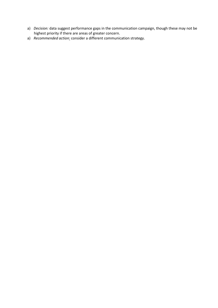- a) *Decision:* data suggest performance gaps in the communication campaign, though these may not be highest priority if there are areas of greater concern.
- a) *Recommended action:* consider a different communication strategy.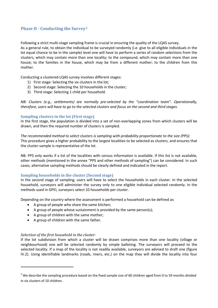#### <span id="page-18-0"></span>**Phase II - Conducting the Survey[3](#page-14-5)**

Following a strict multi-stage sampling frame is crucial in ensuring the quality of the LQAS survey. As a general rule, to obtain the individual to be surveyed randomly (i.e. give to all eligible individuals in the lot equal chance to be in the sample) level one will have to perform a series of random selections from the clusters, which may contain more than one locality; to the compound, which may contain more than one house; to the families in the house, which may be from a different mother; to the children from this mother.

Conducting a clustered-LQAS survey involves different stages:

- 1) First stage: Selecting the six clusters in the lot;
- 2) Second stage: Selecting the 10 households in the cluster;
- 3) Third stage: Selecting 1 child per household.

*NB: Clusters (e.g., settlements) are normally pre-selected by the "coordination team". Operationally, therefore, users will have to go to the selected clusters and focus on the second and third stages.* 

#### <span id="page-18-1"></span>**Sampling clusters in the lot (First stage)**

In the first stage, the population is divided into a set of non-overlapping zones from which clusters will be drawn, and then the required number of clusters is sampled.

*The recommended method to select clusters is sampling with probability proportionate to the size (PPS):* This procedure gives a higher probability to the largest localities to be selected as clusters, and ensures that the cluster-sample is representative of the lot.

NB: PPS only works if a list of the localities with census information is available. If this list is not available, other methods (mentioned in the annex "PPS and other methods of sampling") can be considered. In such cases, alternative sampling methods should be clearly defined and indicated in the report.

#### <span id="page-18-2"></span>**Sampling households in the cluster (Second stage)**

In the second stage of sampling, users will have to select the households in each cluster. In the selected household, surveyors will administer the survey only to one eligible individual selected randomly. In the methods used in GPEI, surveyors select 10 households per cluster.

Depending on the country where the assessment is performed a household can be defined as:

- A group of people who share the same kitchen;
- A group of people whose sustainment is provided by the same person(s);
- A group of children with the same mother;
- A group of children with the same father.

#### *Selection of the first household in the cluster:*

 $\overline{\phantom{a}}$ 

If the lot subdivision from which a cluster will be drawn comprises more than one locality (village or neighbourhood) one will be selected randomly by simple balloting. The surveyors will proceed to the selected locality. If a map of the locality is not readily available, surveyors are advised to draft one (figure IV.2). Using identifiable landmarks (roads, rivers, etc.) on the map they will divide the locality into four

<span id="page-18-3"></span> $3$  We describe the sampling procedure based on the fixed sample size of 60 children aged from 0 to 59 months divided in six clusters of 10 children.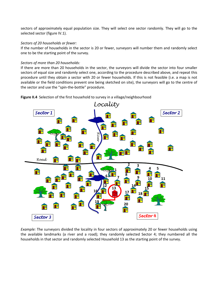sectors of approximately equal population size. They will select one sector randomly. They will go to the selected sector (figure IV.1).

#### *Sectors of 20 households or fewer:*

If the number of households in the sector is 20 or fewer, surveyors will number them and randomly select one to be the starting point of the survey.

#### *Sectors of more than 20 households:*

If there are more than 20 households in the sector, the surveyors will divide the sector into four smaller sectors of equal size and randomly select one, according to the procedure described above, and repeat this procedure until they obtain a sector with 20 or fewer households. If this is not feasible (i.e. a map is not available or the field conditions prevent one being sketched on site), the surveyors will go to the centre of the sector and use the "spin-the-bottle" procedure.

Figure II.4 Selection of the first household to survey in a village/neighbourhood



*Example:* The surveyors divided the locality in four sectors of approximately 20 or fewer households using the available landmarks (a river and a road); they randomly selected Sector 4; they numbered all the households in that sector and randomly selected Household 13 as the starting point of the survey.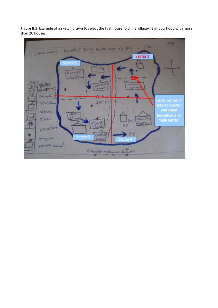

Figure II.5 Example of a sketch drawn to select the first household in a village/neighbourhood with more than 20 houses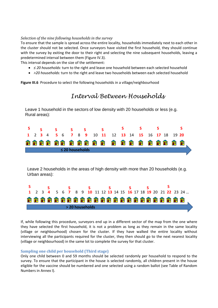#### *Selection of the nine following households in the survey*

To ensure that the sample is spread across the entire locality, households immediately next to each other in the cluster should not be selected. Once surveyors have visited the first household, they should continue with the survey by exiting the door to their right and selecting the nine subsequent households, leaving a predetermined interval between them (Figure IV.3).

This interval depends on the size of the settlement:

- *≤ 20 households:* turn to the right and leave one household between each selected household
- *>20 households:* turn to the right and leave two households between each selected household

Figure III.6 Procedure to select the following households in a village/neighbourhood

## *Interval Between Households*

Leave 1 household in the sectors of low density with 20 households or less (e.g. Rural areas):



Leave 2 households in the areas of high density with more than 20 households (e.g. Urban areas):



If, while following this procedure, surveyors end up in a different sector of the map from the one where they have selected the first household, it is not a problem as long as they remain in the same locality (village or neighbourhood) chosen for the cluster. If they have walked the entire locality without interviewing all the participants required for the cluster, they then should go to the next nearest locality (village or neighbourhood) in the same lot to complete the survey for that cluster.

#### <span id="page-21-0"></span>**Sampling one child per household (Third stage)**

Only one child between 0 and 59 months should be selected randomly per household to respond to the survey. To ensure that the participant in the house is selected randomly, all children present in the house eligible for the vaccine should be numbered and one selected using a random ballot (see Table of Random Numbers in Annex I).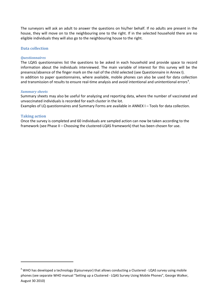The surveyors will ask an adult to answer the questions on his/her behalf. If no adults are present in the house, they will move on to the neighbouring one to the right. If in the selected household there are no eligible individuals they will also go to the neighbouring house to the right.

#### <span id="page-22-0"></span>**Data collection**

#### *Questionnaires*

The LQAS questionnaires list the questions to be asked in each household and provide space to record information about the individuals interviewed. The main variable of interest for this survey will be the presence/absence of the finger mark on the nail of the child selected (see Questionnaire in Annex I). In addition to paper questionnaires, where available, mobile phones can also be used for data collection and transmission of results to ensure real-time analysis and avoid intentional and unintentional errors<sup>[4](#page-18-3)</sup>.

#### *Summary sheets*

Summary sheets may also be useful for analyzing and reporting data, where the number of vaccinated and unvaccinated individuals is recorded for each cluster in the lot.

Examples of LQ questionnaires and Summary Forms are available in ANNEX I – Tools for data collection.

#### <span id="page-22-1"></span>**Taking action**

**.** 

Once the survey is completed and 60 individuals are sampled action can now be taken according to the framework (see Phase II – Choosing the clustered-LQAS framework) that has been chosen for use.

 $4$  WHO has developed a technology (Episurveyor) that allows conducting a Clustered - LQAS survey using mobile phones (see separate WHO manual "Setting up a Clustered - LQAS Survey Using Mobile Phones", George Walker, August 30 2010)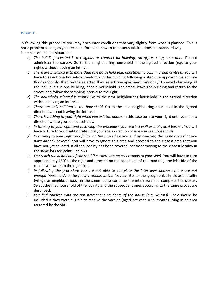#### <span id="page-23-0"></span>**What if...**

In following this procedure you may encounter conditions that vary slightly from what is planned. This is not a problem as long as you decide beforehand how to treat unusual situations in a standard way. Examples of unusual situations:

- a) *The building selected is a religious or commercial building, an office, shop, or school*. Do not administer the survey. Go to the neighbouring household in the agreed direction (e.g. to your right), without leaving an interval.
- b) *There are buildings with more than one household (e.g. apartment blocks in urban centres).* You will have to select one household randomly in the building following a stepwise approach. Select one floor randomly, then on the selected floor select one apartment randomly. To avoid clustering all the individuals in one building, once a household is selected, leave the building and return to the street, and follow the sampling interval to the right.
- c) *The household selected is empty.* Go to the next neighbouring household in the agreed direction without leaving an interval.
- d) *There are only children in the household.* Go to the next neighbouring household in the agreed direction without leaving the interval.
- e) *There is nothing to your right when you exit the house.* In this case turn to your right until you face a direction where you see households.
- f) *In turning to your right and following the procedure you reach a wall or a physical barrier.* You will have to turn to your right on site until you face a direction where you see households.
- g) *In turning to your right and following the procedure you end up covering the same area that you have already covered.* You will have to ignore this area and proceed to the closest area that you have not yet covered. If all the locality has been covered, consider moving to the closest locality in the same lot (see point i) below)
- h) *You reach the dead end of the road (i.e. there are no other roads to your side).* You will have to turn approximately 180° to the right and proceed on the other side of the road (e.g. the left side of the road if you were on the right side).
- i) *In following the procedure you are not able to complete the interviews because there are not enough households or target individuals in the locality.* Go to the geographically closest locality (village or neighbourhood) in the same lot to continue the interviews and complete the cluster. Select the first household of the locality and the subsequent ones according to the same procedure described.
- j) *You find children who are not permanent residents of the house (e.g. visitors)*. They should be included if they were eligible to receive the vaccine (aged between 0-59 months living in an area targeted by the SIA).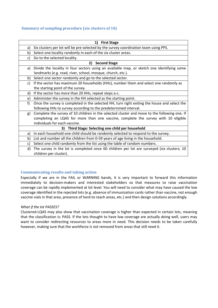#### <span id="page-24-0"></span>**Summary of sampling procedure (six clusters of 10)**

|    | <b>First Stage</b><br>1)                                                                     |
|----|----------------------------------------------------------------------------------------------|
| a) | Six clusters per lot will be pre-selected by the survey coordination team using PPS.         |
| b) | Select one locality randomly in each of the six cluster areas.                               |
| c) | Go to the selected locality.                                                                 |
|    | 2)<br><b>Second Stage</b>                                                                    |
| a) | Divide the locality in four sectors using an available map, or sketch one identifying some   |
|    | landmarks (e.g. road, river, school, mosque, church, etc.).                                  |
| b) | Select one sector randomly and go to the selected sector.                                    |
| c) | If the sector has maximum 20 households (HHs), number them and select one randomly as        |
|    | the starting point of the survey.                                                            |
| d) | If the sector has more than 20 HHs, repeat steps a-c.                                        |
| e) | Administer the survey in the HH selected as the starting point.                              |
| f) | Once the survey is completed in the selected HH, turn right exiting the house and select the |
|    | following HHs to survey according to the predetermined interval.                             |
| g) | Complete the survey of 10 children in the selected cluster and move to the following one. If |
|    | completing an LQAS for more than one vaccine, complete the survey with 10 eligible           |
|    | individuals for each vaccine.                                                                |
|    | 3) Third Stage: Selecting one child per household                                            |
| a) | In each household one child should be randomly selected to respond to the survey.            |
| b) | List and number all the children from 0-59 years of age living in the household.             |
| c) | Select one child randomly from the list using the table of random numbers.                   |
| d) | The survey in the lot is completed once 60 children per lot are surveyed (six clusters; 10   |
|    | children per cluster).                                                                       |

#### <span id="page-24-1"></span>**Communicating results and taking action**

Especially if we are in the FAIL or WARNING bands, it is very important to forward this information immediately to decision-makers and interested stakeholders so that measures to raise vaccination coverage can be rapidly implemented at lot level. You will need to consider what may have caused the low coverage identified in the rejected lots (e.g. absence of immunization cards rather than vaccine, not enough vaccine vials in that area, presence of hard-to reach areas, etc.) and then design solutions accordingly.

#### *What if the lot PASSES?*

Clustered-LQAS may also show that vaccination coverage is higher than expected in certain lots, meaning that the classification is: PASS. If the lots thought to have low coverage are actually doing well, users may want to consider redirecting resources to areas more in need. This decision needs to be taken carefully however, making sure that the workforce is not removed from areas that still need it.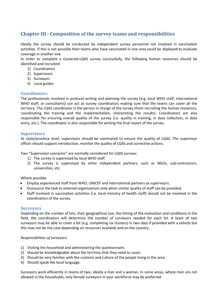## <span id="page-25-0"></span>**Chapter III - Composition of the survey teams and responsibilities**

Ideally the survey should be conducted by independent survey personnel not involved in vaccination activities. If this is not possible then teams who have vaccinated in one area could be deployed to evaluate coverage in another one.

In order to complete a clustered-LQAS survey successfully, the following human resources should be identified and recruited:

- 1) Coordinators
- 2) Supervisors
- 3) Surveyors
- 4) Local guides

#### <span id="page-25-1"></span>**Coordinators**

The professionals involved in protocol writing and planning the survey (e.g. local WHO staff, international WHO staff, or consultants) can act as survey coordinators making sure that the teams can cover all the territory. The LQAS coordinator is the person in charge of the survey (from recruiting the human resources, coordinating the training and the implementation, interpreting the results). Coordinators are also responsible for ensuring overall quality of the survey (i.e. quality in training, in data collection, in data entry, etc.). The coordinator is also responsible for writing the final report of the survey.

#### <span id="page-25-2"></span>**Supervisors**

At state/province level, supervisors should be nominated to ensure the quality of LQAS. The supervisor officer should support introduction, monitor the quality of LQAS and corrective actions.

Two "Supervision scenarios" are normally considered for LQAS surveys:

- 1) The survey is supervised by local WHO staff.
- 2) The survey is supervised by other independent partners, such as NGOs, sub-contractors, universities, etc.

#### Where possible:

- Employ experienced staff from WHO, UNICEF and international partners as supervisors.
- Outsource the task to external organizations only when similar quality of staff can be provided.
- Staff involved in vaccination activities (i.e. local ministry of health staff) should not be involved in the coordination of the survey.

#### <span id="page-25-3"></span>**Surveyors**

Depending on the number of lots, their geographical size, the timing of the evaluation and conditions in the field, the coordinators will determine the number of surveyors needed for each lot. A team of two surveyors may be able to cover a lot (e.g. completing six clusters) in two days if provided with a vehicle but this may not be the case depending on resources available and on the country.

#### *Responsibilities of surveyors:*

- 1) Visiting the household and administering the questionnaire.
- 2) Should be knowledgeable about the territory that they need to cover.
- 3) Should be very familiar with the customs and culture of the people living in the area.
- 4) Should speak the local language.

Surveyors work efficiently in teams of two, ideally a man and a woman. In some areas, where men are not allowed in the households, only female surveyors in your workforce may be preferred.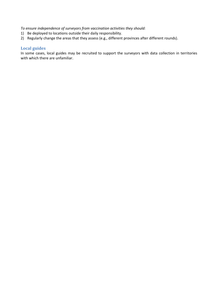*To ensure independence of surveyors from vaccination activities they should:* 

- 1) Be deployed to locations outside their daily responsibility.
- 2) Regularly change the areas that they assess (e.g., different provinces after different rounds).

#### <span id="page-26-0"></span>**Local guides**

In some cases, local guides may be recruited to support the surveyors with data collection in territories with which there are unfamiliar.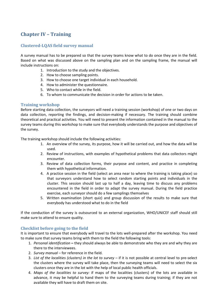## <span id="page-27-0"></span>**Chapter IV – Training**

#### <span id="page-27-1"></span>**Clustered-LQAS field survey manual**

A survey manual has to be prepared so that the survey teams know what to do once they are in the field. Based on what was discussed above on the sampling plan and on the sampling frame, the manual will include instructions on:

- 1. Introduction to the study and the objectives.
- 2. How to choose sampling points.
- 3. How to choose one target individual in each household.
- 4. How to administer the questionnaire.
- 5. Who to contact while in the field.
- 6. To whom to communicate the decision in order for actions to be taken.

#### <span id="page-27-2"></span>**Training workshop**

Before starting data collection, the surveyors will need a training session (workshop) of one or two days on data collection, reporting the findings, and decision-making if necessary. The training should combine theoretical and practical activities. You will need to present the information contained in the manual to the survey teams during this workshop to make sure that everybody understands the purpose and objectives of the survey.

The training workshop should include the following activities:

- 1. An overview of the survey, its purpose, how it will be carried out, and how the data will be used.
- 2. Review of instructions, with examples of hypothetical problems that data collectors might encounter.
- 3. Review of data collection forms, their purpose and content, and practice in completing them with hypothetical information.
- 4. A practice session in the field (select an area near to where the training is taking place) so that surveyors understand how to select random starting points and individuals in the cluster. This session should last up to half a day, leaving time to discuss any problems encountered in the field in order to adapt the survey manual. During the field practice exercise, each surveyor should do a few samplings themselves
- 5. Written examination (short quiz) and group discussion of the results to make sure that everybody has understood what to do in the field

If the conduction of the survey is outsourced to an external organization, WHO/UNICEF staff should still make sure to attend to ensure quality.

#### <span id="page-27-3"></span>**Checklist before going to the field**

It is important to ensure that everybody will travel to the lots well-prepared after the workshop. You need to make sure that survey teams bring with them to the field the following tools:

- 1. *Personal identification* **–** they should always be able to demonstrate who they are and why they are there to the interviewees.
- 2. *Survey manual –* for reference in the field.
- 3. *List of the localities (clusters) in the lot to survey –* if it is not possible at central level to pre-select the clusters where the survey will take place, then the surveying teams will need to select the six clusters once they are in the lot with the help of local public health officials.
- 4. *Maps of the localities to survey:* if maps of the localities (clusters) of the lots are available in advance, it may be helpful to hand them to the surveying teams during training; if they are not available they will have to draft them on site.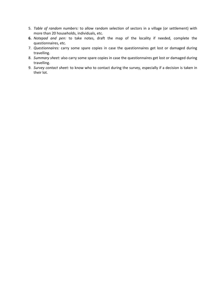- 5. *Table of random numbers:* to allow random selection of sectors in a village (or settlement) with more than 20 households, individuals, etc.
- **6.** *Notepad and pen:* to take notes, draft the map of the locality if needed, complete the questionnaires, etc.
- 7. *Questionnaires:* carry some spare copies in case the questionnaires get lost or damaged during travelling.
- 8. *Summary sheet:* also carry some spare copies in case the questionnaires get lost or damaged during travelling.
- 9. *Survey contact sheet:* to know who to contact during the survey, especially if a decision is taken in their lot.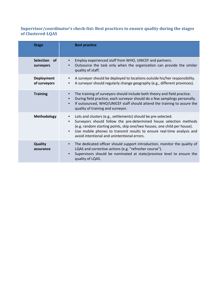#### <span id="page-29-0"></span>**Supervisor/coordinator's check-list: Best practices to ensure quality during the stages of Clustered-LQAS**

| <b>Stage</b>                               | <b>Best practice</b>                                                                                                                                                                                                                                                                                                                                  |
|--------------------------------------------|-------------------------------------------------------------------------------------------------------------------------------------------------------------------------------------------------------------------------------------------------------------------------------------------------------------------------------------------------------|
| <b>Selection</b><br><b>of</b><br>surveyors | Employ experienced staff from WHO, UNICEF and partners.<br>Outsource the task only when the organization can provide the similar<br>quality of staff.                                                                                                                                                                                                 |
| <b>Deployment</b><br>of surveyors          | A surveyor should be deployed to locations outside his/her responsibility.<br>A surveyor should regularly change geography (e.g., different provinces).                                                                                                                                                                                               |
| <b>Training</b>                            | The training of surveyors should include both theory and field practice.<br>During field practice, each surveyor should do a few samplings personally.<br>If outsourced, WHO/UNICEF staff should attend the training to assure the<br>$\bullet$<br>quality of training and surveyor.                                                                  |
| <b>Methodology</b>                         | Lots and clusters (e.g., settlements) should be pre-selected.<br>Surveyors should follow the pre-determined house selection methods<br>(e.g. random starting points, skip one/two houses, one child per house).<br>Use mobile phones to transmit results to ensure real-time analysis and<br>$\bullet$<br>avoid intentional and unintentional errors. |
| <b>Quality</b><br>assurance                | The dedicated officer should support introduction, monitor the quality of<br>LQAS and corrective actions (e.g. "refresher course").<br>Supervisors should be nominated at state/province level to ensure the<br>quality of LQAS.                                                                                                                      |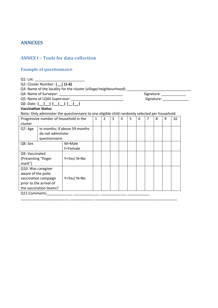### <span id="page-30-0"></span>**ANNEXES**

#### <span id="page-30-1"></span>**ANNEX I – Tools for data collection**

#### <span id="page-30-2"></span>**Example of questionnaire**

Q1: Lot: \_\_\_\_\_\_

Q2: Cluster Number: **|\_\_| (1-6)**

Q3: Name of the locality for the cluster (village/neighbourhood): \_\_\_\_\_\_\_\_

Q4: Name of Surveyor: \_\_\_\_\_\_\_\_\_\_\_\_\_\_\_\_\_\_\_\_\_\_\_\_\_\_\_\_\_\_\_\_ Signature: \_\_\_\_\_\_\_\_\_\_\_\_

Q6: Date: **|\_\_|\_\_| |\_\_|\_\_| |\_\_|\_\_|**

Q5: Name of LQAS Supervisor: \_\_\_\_\_\_\_\_\_\_\_\_\_\_\_\_\_\_\_\_\_\_\_\_\_\_ Signature: \_\_\_\_\_\_\_\_\_\_\_\_\_

#### **Vaccination Status**

Note: Only administer the questionnaire to one eligible child randomly selected per household.

| Progressive number of household in the | 1                 | $\overline{2}$                | 3 | 4 | 5 | 6 | 7 | 8 | 9 | 10 |  |  |
|----------------------------------------|-------------------|-------------------------------|---|---|---|---|---|---|---|----|--|--|
| cluster                                |                   |                               |   |   |   |   |   |   |   |    |  |  |
| Q7: Age                                |                   | In months; if above 59 months |   |   |   |   |   |   |   |    |  |  |
|                                        | do not administer |                               |   |   |   |   |   |   |   |    |  |  |
|                                        | questionnaire.    |                               |   |   |   |   |   |   |   |    |  |  |
| Q8: Sex                                |                   | M=Male                        |   |   |   |   |   |   |   |    |  |  |
|                                        |                   | F=Female                      |   |   |   |   |   |   |   |    |  |  |
| Q9: Vaccinated                         |                   |                               |   |   |   |   |   |   |   |    |  |  |
| (Presenting "finger                    |                   | Y=Yes/N=No                    |   |   |   |   |   |   |   |    |  |  |
| mark")                                 |                   |                               |   |   |   |   |   |   |   |    |  |  |
| Q10: Was caregiver                     |                   |                               |   |   |   |   |   |   |   |    |  |  |
| aware of the polio                     |                   |                               |   |   |   |   |   |   |   |    |  |  |
| vaccination campaign                   |                   | Y=Yes/N=No                    |   |   |   |   |   |   |   |    |  |  |
| prior to the arrival of                |                   |                               |   |   |   |   |   |   |   |    |  |  |
| the vaccination teams?                 |                   |                               |   |   |   |   |   |   |   |    |  |  |
| Q11:Comments                           |                   |                               |   |   |   |   |   |   |   |    |  |  |

\_\_\_\_\_\_\_\_\_\_\_\_\_\_\_\_\_\_\_\_\_\_\_\_ \_\_\_\_\_\_\_\_\_\_\_\_ \_\_\_\_\_\_\_\_\_\_\_\_\_\_\_\_\_\_\_\_\_\_\_\_\_\_\_\_\_\_\_\_\_\_\_\_\_\_\_\_\_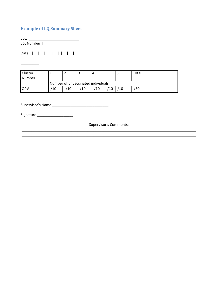#### <span id="page-31-0"></span>**Example of LQ Summary Sheet**

Lot: the contract of the contract of the contract of the contract of the contract of the contract of the contract of the contract of the contract of the contract of the contract of the contract of the contract of the contr Lot Number  $\boxed{\underline{\phantom{a}}\underline{\phantom{a}}\underline{\phantom{a}}\underline{\phantom{a}}\underline{\phantom{a}}\underline{\phantom{a}}\underline{\phantom{a}}\underline{\phantom{a}}\underline{\phantom{a}}\underline{\phantom{a}}\underline{\phantom{a}}\underline{\phantom{a}}\underline{\phantom{a}}\underline{\phantom{a}}\underline{\phantom{a}}\underline{\phantom{a}}\underline{\phantom{a}}\underline{\phantom{a}}\underline{\phantom{a}}\underline{\phantom{a}}\underline{\phantom{a}}\underline{\phantom{a}}\underline{\phantom{a}}$ 

 $\overline{\phantom{a}}$  . The contract of  $\overline{\phantom{a}}$ 

Date: |\_|\_|\_| |\_|\_| |\_|\_|

| Cluster |     |                                    |    | 4  |     |     | Total |  |
|---------|-----|------------------------------------|----|----|-----|-----|-------|--|
| Number  |     |                                    |    |    |     |     |       |  |
|         |     | Number of unvaccinated individuals |    |    |     |     |       |  |
| OPV     | '10 | /10                                | Ί0 | 10 | ′10 | ′10 | /60   |  |

Signature \_\_\_\_\_\_\_\_\_\_\_\_\_\_\_\_\_\_\_\_

Supervisor's Comments: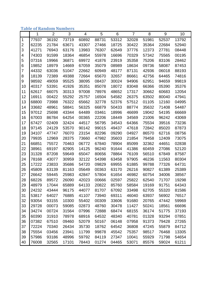## <span id="page-32-0"></span>**Table of Random Numbers**

|                | 1     | $\overline{2}$ | 3     | 4     | 5     | 6     | $\overline{7}$ | 8     | 9     | 10    |
|----------------|-------|----------------|-------|-------|-------|-------|----------------|-------|-------|-------|
| $\mathbf{1}$   | 77937 | 36192          | 73719 | 60892 | 88731 | 53312 | 32028          | 51981 | 52537 | 13792 |
| $\overline{c}$ | 62235 | 21784          | 63671 | 43307 | 27466 | 18725 | 30422          | 35364 | 22684 | 52940 |
| 3              | 41271 | 76943          | 63176 | 13983 | 76307 | 62649 | 37776          | 12373 | 27781 | 08448 |
| 4              | 74303 | 91599          | 18364 | 46854 | 55978 | 16696 | 70329          | 57342 | 75565 | 00195 |
| 5              | 07316 | 19966          | 36871 | 69972 | 41876 | 23919 | 35358          | 75206 | 83106 | 28462 |
| 6              | 19852 | 18979          | 14669 | 67059 | 35079 | 08989 | 18634          | 09736 | 58087 | 87453 |
| 7              | 44332 | 63036          | 51047 | 22662 | 60949 | 48177 | 87131          | 42936 | 06018 | 88193 |
| 8              | 18139 | 72389          | 49388 | 72664 | 65670 | 32657 | 86661          | 42756 | 64465 | 74816 |
| 9              | 98592 | 49059          | 95525 | 38095 | 08437 | 30024 | 94906          | 62951 | 94659 | 99819 |
| 10             | 40317 | 53391          | 41926 | 35351 | 85078 | 18072 | 83048          | 66366 | 05390 | 35376 |
| 11             | 62617 | 66075          | 30313 | 97008 | 78976 | 48652 | 17317          | 30662 | 60683 | 12054 |
| 12             | 16911 | 00422          | 55292 | 25757 | 16504 | 54582 | 26375          | 63502 | 80040 | 47941 |
| 13             | 68800 | 73988          | 76322 | 65662 | 32778 | 52376 | 57512          | 01105 | 12160 | 04995 |
| 14             | 33682 | 48961          | 58841 | 56325 | 66879 | 50433 | 88774          | 35632 | 71408 | 54487 |
| 15             | 97012 | 25698          | 43344 | 64489 | 03461 | 18996 | 46699          | 19042 | 54195 | 66669 |
| 16             | 67003 | 86784          | 64254 | 00365 | 22206 | 18449 | 34569          | 21006 | 96242 | 43069 |
| 17             | 67427 | 02409          | 32424 | 44517 | 56795 | 34543 | 64366          | 75534 | 39516 | 73236 |
| 18             | 97145 | 24129          | 53570 | 90142 | 99015 | 49437 | 47618          | 72842 | 85020 | 87873 |
| 19             | 34107 | 47747          | 76070 | 23154 | 82296 | 09290 | 04927          | 86570 | 62716 | 08756 |
| 20             | 79935 | 12969          | 28375 | 73660 | 47982 | 35603 | 21854          | 79458 | 12409 | 73075 |
| 21             | 66851 | 75572          | 70463 | 06772 | 67840 | 78904 | 85099          | 32362 | 44651 | 02838 |
| 22             | 38961 | 69197          | 82905 | 14125 | 96240 | 91644 | 41386          | 60459 | 27086 | 52120 |
| 23             | 31328 | 87208          | 59649 | 65047 | 80656 | 78864 | 76109          | 56510 | 67849 | 87587 |
| 24             | 78168 | 43077          | 30959 | 32122 | 54398 | 63458 | 97905          | 46236 | 11563 | 80304 |
| 25             | 17222 | 23833          | 35686 | 54720 | 09829 | 69955 | 61885          | 99788 | 77326 | 64731 |
| 26             | 45809 | 63139          | 81163 | 05649 | 00363 | 63170 | 26216          | 90827 | 61389 | 25389 |
| 27             | 26642 | 59445          | 25983 | 42847 | 57804 | 61654 | 46982          | 60754 | 34006 | 38567 |
| 28             | 68226 | 89572          | 26090 | 42023 | 00666 | 02597 | 25822          | 62540 | 71707 | 19298 |
| 29             | 48979 | 17044          | 65889 | 64133 | 20822 | 85760 | 58584          | 19169 | 91751 | 64343 |
| 30             | 24232 | 43444          | 96175 | 44077 | 81707 | 67092 | 33498          | 62705 | 55320 | 81586 |
| 31             | 53817 | 64027          | 76885 | 41107 | 73940 | 69311 | 46040          | 63937 | 56902 | 76517 |
| 32             | 93054 | 93155          | 10300 | 55402 | 00309 | 33606 | 91680          | 20765 | 47442 | 59969 |
| 33             | 29728 | 00073          | 59085 | 02873 | 48760 | 30478 | 11427          | 50241 | 18561 | 66696 |
| 34             | 34274 | 00724          | 31564 | 07996 | 72888 | 68474 | 68155          | 36174 | 51775 | 37193 |
| 35             | 60390 | 31910          | 78978 | 68916 | 64532 | 48340 | 40781          | 01328 | 93294 | 07851 |
| 36             | 07382 | 67510          | 09460 | 52079 | 50167 | 06148 | 07958          | 91373 | 79428 | 27265 |
| 37             | 72224 | 70340          | 26434 | 35730 | 18762 | 64542 | 36808          | 47245 | 55879 | 84712 |
| 38             | 75554 | 03456          | 23941 | 11799 | 99878 | 45542 | 75357          | 98517 | 76468 | 13305 |
| 39             | 57986 | 93186          | 48996 | 59792 | 84119 | 27347 | 10041          | 55929 | 71798 | 54654 |
| 40             | 76008 | 32565          | 17101 | 78443 | 01274 | 04465 | 53071          | 85576 | 59024 | 61211 |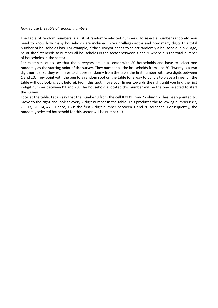#### *How to use the table of random numbers*

The table of random numbers is a list of randomly-selected numbers. To select a number randomly, you need to know how many households are included in your village/sector and how many digits this total number of households has. For example, if the surveyor needs to select randomly a household in a village, he or she first needs to number all households in the sector between *1* and *n*, where *n* is the total number of households in the sector.

For example, let us say that the surveyors are in a sector with 20 households and have to select one randomly as the starting point of the survey. They number all the households from 1 to 20. Twenty is a two digit number so they will have to choose randomly from the table the first number with two digits between 1 and 20. They point with the pen to a random spot on the table (one way to do it is to place a finger on the table without looking at it before). From this spot, move your finger towards the right until you find the first 2-digit number between 01 and 20. The household allocated this number will be the one selected to start the survey.

Look at the table. Let us say that the number 8 from the cell 87131 (row 7 column 7) has been pointed to. Move to the right and look at every 2-digit number in the table. This produces the following numbers: 87, 71, 13, 31, 14, 42... Hence, 13 is the first 2-digit number between 1 and 20 screened. Consequently, the randomly selected household for this sector will be number 13.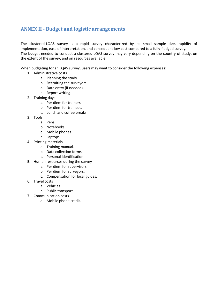## <span id="page-34-0"></span>**ANNEX II - Budget and logistic arrangements**

The clustered-LQAS survey is a rapid survey characterized by its small sample size, rapidity of implementation, ease of interpretation, and consequent low cost compared to a fully-fledged survey. The budget needed to conduct a clustered-LQAS survey may vary depending on the country of study, on the extent of the survey, and on resources available.

When budgeting for an LQAS survey, users may want to consider the following expenses:

- 1. Administrative costs
	- a. Planning the study.
	- b. Recruiting the surveyors.
	- c. Data entry (if needed).
	- d. Report writing.
- 2. Training days
	- a. Per diem for trainers.
	- b. Per diem for trainees.
	- c. Lunch and coffee breaks.
- 3. Tools
	- a. Pens.
	- b. Notebooks.
	- c. Mobile phones.
	- d. Laptops.
- 4. Printing materials
	- a. Training manual.
	- b. Data collection forms.
	- c. Personal identification.
- 5. Human resources during the survey
	- a. Per diem for supervisors.
	- b. Per diem for surveyors.
	- c. Compensation for local guides.
- 6. Travel costs
	- a. Vehicles.
	- b. Public transport.
- 7. Communication costs
	- a. Mobile phone credit.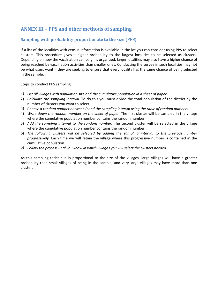## <span id="page-35-0"></span>**ANNEX III – PPS and other methods of sampling**

#### <span id="page-35-1"></span>**Sampling with probability proportionate to the size (PPS)**

If a list of the localities with census information is available in the lot you can consider using PPS to select clusters. This procedure gives a higher probability to the largest localities to be selected as clusters. Depending on how the vaccination campaign is organized, larger localities may also have a higher chance of being reached by vaccination activities than smaller ones. Conducting the survey in such localities may not be what users want if they are seeking to ensure that every locality has the same chance of being selected in the sample.

Steps to conduct PPS sampling:

- *1) List all villages with population size and the cumulative population in a sheet of paper.*
- 2) *Calculate the sampling interval.* To do this you must divide the total population of the district by the number of clusters you want to select.
- *3) Choose a random number between 0 and the sampling interval using the table of random numbers.*
- 4) *Write down the random number on the sheet of paper.* The first cluster will be sampled in the village where the cumulative population number contains the random number.
- 5) *Add the sampling interval to the random number.* The second cluster will be selected in the village where the cumulative population number contains the random number.
- 6) *The following clusters will be selected by adding the sampling interval to the previous number progressively.* Each time we will retain the village where this progressive number is contained in the cumulative population.
- *7) Follow the process until you know in which villages you will select the clusters needed.*

As this sampling technique is proportional to the size of the villages, large villages will have a greater probability than small villages of being in the sample, and very large villages may have more than one cluster.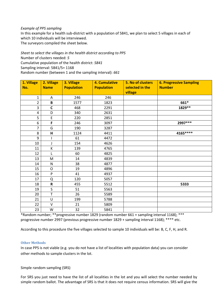#### *Example of PPS sampling*

In this example for a health sub-district with a population of 5841, we plan to select 5 villages in each of which 10 individuals will be interviewed.

The surveyors compiled the sheet below.

*Sheet to select the villages in the health district according to PPS* Number of clusters needed: *5* Cumulative population of the health district: *5841* Sampling interval: 5841/5= 1168 Random number (between 1 and the sampling interval): *661*

| 1. Village<br>No. | 2. Village<br><b>Name</b> | 3. Village<br><b>Population</b> | <b>4. Cumulative</b><br><b>Population</b> | <b>5. No of clusters</b><br>selected in the<br>village | <b>6. Progressive Sampling</b><br><b>Number</b> |
|-------------------|---------------------------|---------------------------------|-------------------------------------------|--------------------------------------------------------|-------------------------------------------------|
| $\mathbf{1}$      | Α                         | 246                             | 246                                       |                                                        |                                                 |
| $\overline{2}$    | $\pmb B$                  | 1577                            | 1823                                      |                                                        | 661*                                            |
| 3                 | $\mathsf{C}$              | 468                             | 2291                                      |                                                        | 1829 **                                         |
| 4                 | D                         | 340                             | 2631                                      |                                                        |                                                 |
| 5                 | $\mathsf E$               | 220                             | 2851                                      |                                                        |                                                 |
| 6                 | F                         | 246                             | 3097                                      |                                                        | 2997 ***                                        |
| $\overline{7}$    | G                         | 190                             | 3287                                      |                                                        |                                                 |
| 8                 | $\mathsf{H}$              | 1124                            | 4411                                      |                                                        | 4165****                                        |
| 9                 |                           | 61                              | 4472                                      |                                                        |                                                 |
| 10                | J                         | 154                             | 4626                                      |                                                        |                                                 |
| 11                | К                         | 139                             | 4765                                      |                                                        |                                                 |
| 12                | L                         | 60                              | 4825                                      |                                                        |                                                 |
| 13                | M                         | 14                              | 4839                                      |                                                        |                                                 |
| 14                | ${\sf N}$                 | 38                              | 4877                                      |                                                        |                                                 |
| 15                | $\circ$                   | 19                              | 4896                                      |                                                        |                                                 |
| 16                | ${\sf P}$                 | 41                              | 4937                                      |                                                        |                                                 |
| 17                | Q                         | 120                             | 5057                                      |                                                        |                                                 |
| 18                | ${\sf R}$                 | 455                             | 5512                                      |                                                        | 5333                                            |
| 19                | $\sf S$                   | 51                              | 5563                                      |                                                        |                                                 |
| 20                | $\mathsf T$               | 26                              | 5589                                      |                                                        |                                                 |
| 21                | U                         | 199                             | 5788                                      |                                                        |                                                 |
| 22                | V                         | 21                              | 5809                                      |                                                        |                                                 |
| 23                | W                         | 32                              | 5841                                      |                                                        |                                                 |

\*Random number; \*\*progressive number 1829 (random number 661 + sampling interval 1168); \*\*\* progressive number 2997 (previous progressive number 1829 + sampling interval 1168); \*\*\*\* etc.

According to this procedure the five villages selected to sample 10 individuals will be: B, C, F, H, and R.

#### <span id="page-36-0"></span>**Other Methods**

In case PPS is not viable (e.g. you do not have a list of localities with population data) you can consider other methods to sample clusters in the lot.

Simple random sampling (SRS)

For SRS you just need to have the list of all localities in the lot and you will select the number needed by simple random ballot. The advantage of SRS is that it does not require census information. SRS will give the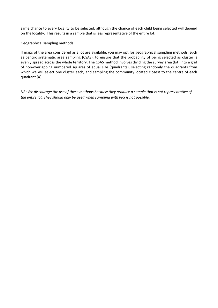same chance to every locality to be selected, although the chance of each child being selected will depend on the locality. This results in a sample that is less representative of the entire lot.

#### Geographical sampling methods

If maps of the area considered as a lot are available, you may opt for geographical sampling methods, such as centric systematic area sampling (CSAS), to ensure that the probability of being selected as cluster is evenly spread across the whole territory. The CSAS method involves dividing the survey area (lot) into a grid of non-overlapping numbered squares of equal size (quadrants), selecting randomly the quadrants from which we will select one cluster each, and sampling the community located closest to the centre of each quadrant [4].

*NB: We discourage the use of these methods because they produce a sample that is not representative of the entire lot. They should only be used when sampling with PPS is not possible.*